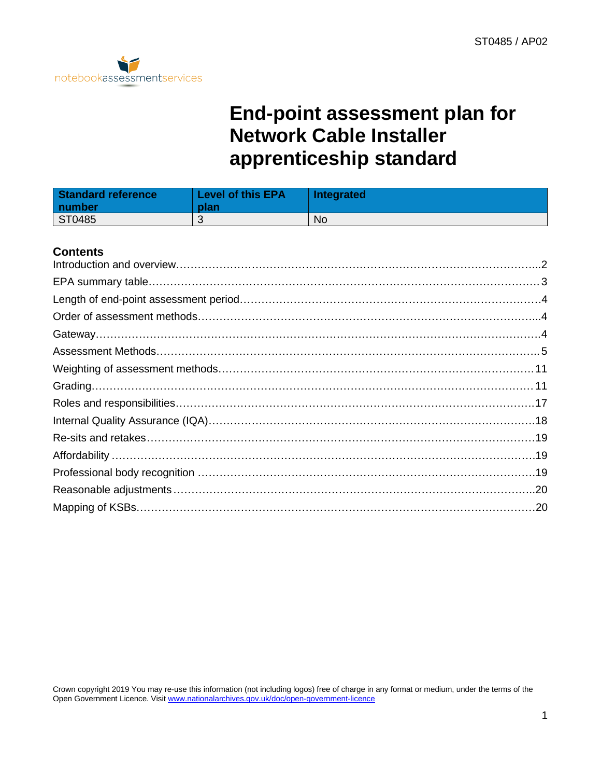

## **End-point assessment plan for Network Cable Installer apprenticeship standard**

| Standard reference<br>  number | <b>Level of this EPA</b><br>plan | Integrated |
|--------------------------------|----------------------------------|------------|
| ST0485                         |                                  | <b>No</b>  |

### **Contents**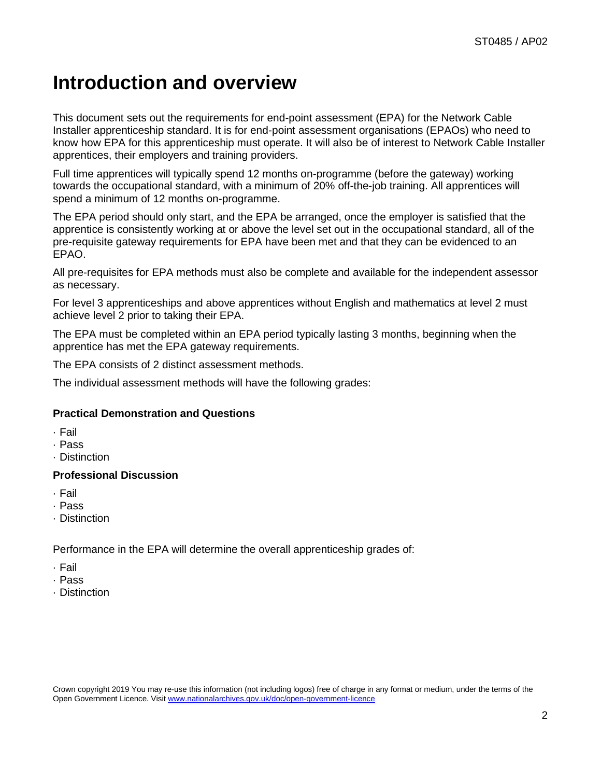## <span id="page-1-0"></span>**Introduction and overview**

This document sets out the requirements for end-point assessment (EPA) for the Network Cable Installer apprenticeship standard. It is for end-point assessment organisations (EPAOs) who need to know how EPA for this apprenticeship must operate. It will also be of interest to Network Cable Installer apprentices, their employers and training providers.

Full time apprentices will typically spend 12 months on-programme (before the gateway) working towards the occupational standard, with a minimum of 20% off-the-job training. All apprentices will spend a minimum of 12 months on-programme.

The EPA period should only start, and the EPA be arranged, once the employer is satisfied that the apprentice is consistently working at or above the level set out in the occupational standard, all of the pre-requisite gateway requirements for EPA have been met and that they can be evidenced to an EPAO.

All pre-requisites for EPA methods must also be complete and available for the independent assessor as necessary.

For level 3 apprenticeships and above apprentices without English and mathematics at level 2 must achieve level 2 prior to taking their EPA.

The EPA must be completed within an EPA period typically lasting 3 months, beginning when the apprentice has met the EPA gateway requirements.

The EPA consists of 2 distinct assessment methods.

The individual assessment methods will have the following grades:

### **Practical Demonstration and Questions**

- · Fail
- · Pass
- · Distinction

#### **Professional Discussion**

- · Fail
- · Pass
- · Distinction

Performance in the EPA will determine the overall apprenticeship grades of:

- · Fail
- · Pass
- · Distinction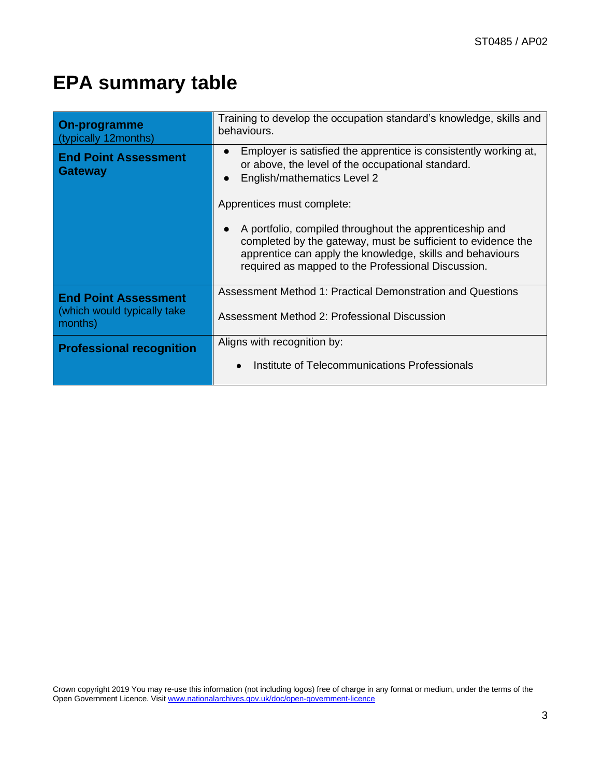## <span id="page-2-0"></span>**EPA summary table**

| <b>On-programme</b><br>(typically 12months)   | Training to develop the occupation standard's knowledge, skills and<br>behaviours.                                                                                                                                                         |  |
|-----------------------------------------------|--------------------------------------------------------------------------------------------------------------------------------------------------------------------------------------------------------------------------------------------|--|
| <b>End Point Assessment</b><br><b>Gateway</b> | Employer is satisfied the apprentice is consistently working at,<br>or above, the level of the occupational standard.<br>English/mathematics Level 2                                                                                       |  |
|                                               | Apprentices must complete:                                                                                                                                                                                                                 |  |
|                                               | A portfolio, compiled throughout the apprenticeship and<br>completed by the gateway, must be sufficient to evidence the<br>apprentice can apply the knowledge, skills and behaviours<br>required as mapped to the Professional Discussion. |  |
| <b>End Point Assessment</b>                   | Assessment Method 1: Practical Demonstration and Questions                                                                                                                                                                                 |  |
| (which would typically take)<br>months)       | Assessment Method 2: Professional Discussion                                                                                                                                                                                               |  |
| <b>Professional recognition</b>               | Aligns with recognition by:                                                                                                                                                                                                                |  |
|                                               | Institute of Telecommunications Professionals                                                                                                                                                                                              |  |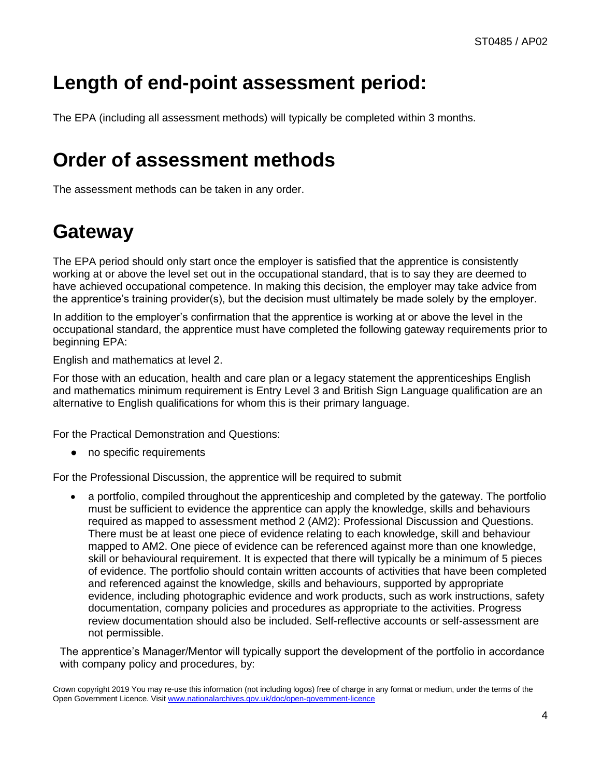# <span id="page-3-0"></span>**Length of end-point assessment period:**

The EPA (including all assessment methods) will typically be completed within 3 months.

## <span id="page-3-1"></span>**Order of assessment methods**

The assessment methods can be taken in any order.

## <span id="page-3-2"></span>**Gateway**

The EPA period should only start once the employer is satisfied that the apprentice is consistently working at or above the level set out in the occupational standard, that is to say they are deemed to have achieved occupational competence. In making this decision, the employer may take advice from the apprentice's training provider(s), but the decision must ultimately be made solely by the employer.

In addition to the employer's confirmation that the apprentice is working at or above the level in the occupational standard, the apprentice must have completed the following gateway requirements prior to beginning EPA:

English and mathematics at level 2.

For those with an education, health and care plan or a legacy statement the apprenticeships English and mathematics minimum requirement is Entry Level 3 and British Sign Language qualification are an alternative to English qualifications for whom this is their primary language.

For the Practical Demonstration and Questions:

● no specific requirements

For the Professional Discussion, the apprentice will be required to submit

• a portfolio, compiled throughout the apprenticeship and completed by the gateway. The portfolio must be sufficient to evidence the apprentice can apply the knowledge, skills and behaviours required as mapped to assessment method 2 (AM2): Professional Discussion and Questions. There must be at least one piece of evidence relating to each knowledge, skill and behaviour mapped to AM2. One piece of evidence can be referenced against more than one knowledge, skill or behavioural requirement. It is expected that there will typically be a minimum of 5 pieces of evidence. The portfolio should contain written accounts of activities that have been completed and referenced against the knowledge, skills and behaviours, supported by appropriate evidence, including photographic evidence and work products, such as work instructions, safety documentation, company policies and procedures as appropriate to the activities. Progress review documentation should also be included. Self-reflective accounts or self-assessment are not permissible.

The apprentice's Manager/Mentor will typically support the development of the portfolio in accordance with company policy and procedures, by:

Crown copyright 2019 You may re-use this information (not including logos) free of charge in any format or medium, under the terms of the Open Government Licence. Visi[t www.nationalarchives.gov.uk/doc/open-government-licence](http://www.nationalarchives.gov.uk/doc/open-government-licence)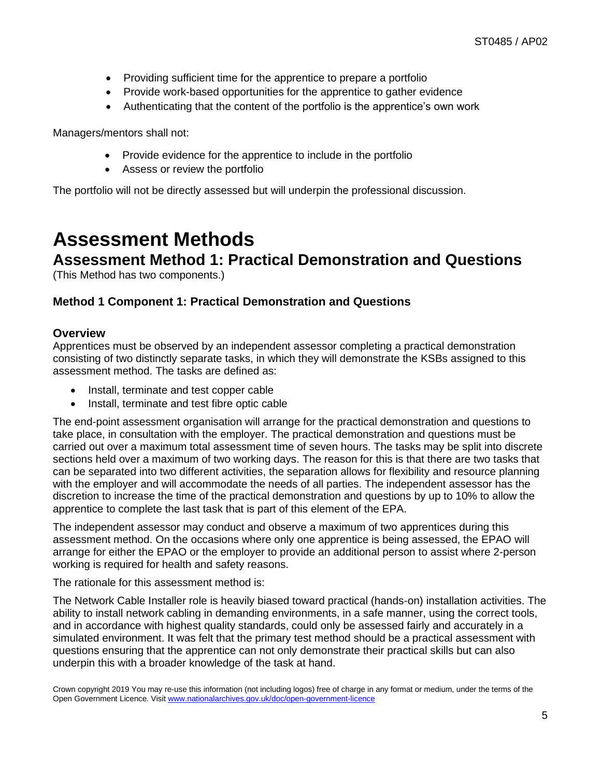- Providing sufficient time for the apprentice to prepare a portfolio
- Provide work-based opportunities for the apprentice to gather evidence
- Authenticating that the content of the portfolio is the apprentice's own work

Managers/mentors shall not:

- Provide evidence for the apprentice to include in the portfolio
- Assess or review the portfolio

<span id="page-4-0"></span>The portfolio will not be directly assessed but will underpin the professional discussion.

### **Assessment Methods**

### **Assessment Method 1: Practical Demonstration and Questions**

(This Method has two components.)

### **Method 1 Component 1: Practical Demonstration and Questions**

#### **Overview**

Apprentices must be observed by an independent assessor completing a practical demonstration consisting of two distinctly separate tasks, in which they will demonstrate the KSBs assigned to this assessment method. The tasks are defined as:

- Install, terminate and test copper cable
- Install, terminate and test fibre optic cable

The end-point assessment organisation will arrange for the practical demonstration and questions to take place, in consultation with the employer. The practical demonstration and questions must be carried out over a maximum total assessment time of seven hours. The tasks may be split into discrete sections held over a maximum of two working days. The reason for this is that there are two tasks that can be separated into two different activities, the separation allows for flexibility and resource planning with the employer and will accommodate the needs of all parties. The independent assessor has the discretion to increase the time of the practical demonstration and questions by up to 10% to allow the apprentice to complete the last task that is part of this element of the EPA.

The independent assessor may conduct and observe a maximum of two apprentices during this assessment method. On the occasions where only one apprentice is being assessed, the EPAO will arrange for either the EPAO or the employer to provide an additional person to assist where 2-person working is required for health and safety reasons.

The rationale for this assessment method is:

The Network Cable Installer role is heavily biased toward practical (hands-on) installation activities. The ability to install network cabling in demanding environments, in a safe manner, using the correct tools, and in accordance with highest quality standards, could only be assessed fairly and accurately in a simulated environment. It was felt that the primary test method should be a practical assessment with questions ensuring that the apprentice can not only demonstrate their practical skills but can also underpin this with a broader knowledge of the task at hand.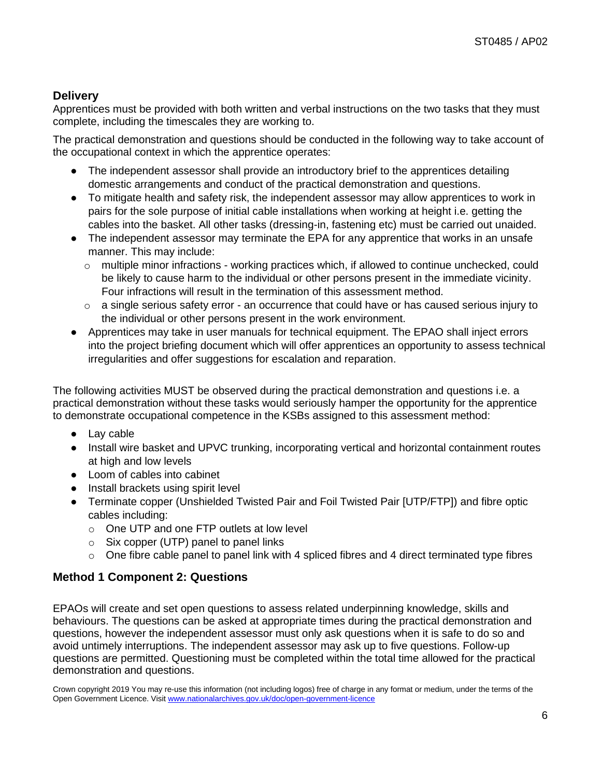### **Delivery**

Apprentices must be provided with both written and verbal instructions on the two tasks that they must complete, including the timescales they are working to.

The practical demonstration and questions should be conducted in the following way to take account of the occupational context in which the apprentice operates:

- The independent assessor shall provide an introductory brief to the apprentices detailing domestic arrangements and conduct of the practical demonstration and questions.
- To mitigate health and safety risk, the independent assessor may allow apprentices to work in pairs for the sole purpose of initial cable installations when working at height i.e. getting the cables into the basket. All other tasks (dressing-in, fastening etc) must be carried out unaided.
- The independent assessor may terminate the EPA for any apprentice that works in an unsafe manner. This may include:
	- $\circ$  multiple minor infractions working practices which, if allowed to continue unchecked, could be likely to cause harm to the individual or other persons present in the immediate vicinity. Four infractions will result in the termination of this assessment method.
	- $\circ$  a single serious safety error an occurrence that could have or has caused serious injury to the individual or other persons present in the work environment.
- Apprentices may take in user manuals for technical equipment. The EPAO shall inject errors into the project briefing document which will offer apprentices an opportunity to assess technical irregularities and offer suggestions for escalation and reparation.

The following activities MUST be observed during the practical demonstration and questions i.e. a practical demonstration without these tasks would seriously hamper the opportunity for the apprentice to demonstrate occupational competence in the KSBs assigned to this assessment method:

- Lay cable
- Install wire basket and UPVC trunking, incorporating vertical and horizontal containment routes at high and low levels
- Loom of cables into cabinet
- Install brackets using spirit level
- Terminate copper (Unshielded Twisted Pair and Foil Twisted Pair [UTP/FTP]) and fibre optic cables including:
	- o One UTP and one FTP outlets at low level
	- $\circ$  Six copper (UTP) panel to panel links
	- $\circ$  One fibre cable panel to panel link with 4 spliced fibres and 4 direct terminated type fibres

### **Method 1 Component 2: Questions**

EPAOs will create and set open questions to assess related underpinning knowledge, skills and behaviours. The questions can be asked at appropriate times during the practical demonstration and questions, however the independent assessor must only ask questions when it is safe to do so and avoid untimely interruptions. The independent assessor may ask up to five questions. Follow-up questions are permitted. Questioning must be completed within the total time allowed for the practical demonstration and questions.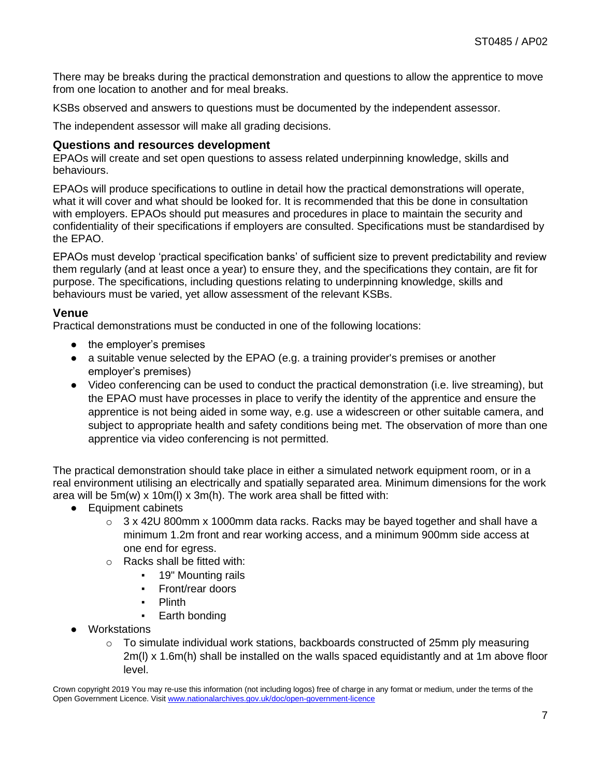There may be breaks during the practical demonstration and questions to allow the apprentice to move from one location to another and for meal breaks.

KSBs observed and answers to questions must be documented by the independent assessor.

The independent assessor will make all grading decisions.

### **Questions and resources development**

EPAOs will create and set open questions to assess related underpinning knowledge, skills and behaviours.

EPAOs will produce specifications to outline in detail how the practical demonstrations will operate, what it will cover and what should be looked for. It is recommended that this be done in consultation with employers. EPAOs should put measures and procedures in place to maintain the security and confidentiality of their specifications if employers are consulted. Specifications must be standardised by the EPAO.

EPAOs must develop 'practical specification banks' of sufficient size to prevent predictability and review them regularly (and at least once a year) to ensure they, and the specifications they contain, are fit for purpose. The specifications, including questions relating to underpinning knowledge, skills and behaviours must be varied, yet allow assessment of the relevant KSBs.

### **Venue**

Practical demonstrations must be conducted in one of the following locations:

- the employer's premises
- a suitable venue selected by the EPAO (e.g. a training provider's premises or another employer's premises)
- Video conferencing can be used to conduct the practical demonstration (i.e. live streaming), but the EPAO must have processes in place to verify the identity of the apprentice and ensure the apprentice is not being aided in some way, e.g. use a widescreen or other suitable camera, and subject to appropriate health and safety conditions being met. The observation of more than one apprentice via video conferencing is not permitted.

The practical demonstration should take place in either a simulated network equipment room, or in a real environment utilising an electrically and spatially separated area. Minimum dimensions for the work area will be 5m(w) x 10m(l) x 3m(h). The work area shall be fitted with:

- Equipment cabinets
	- $\circ$  3 x 42U 800mm x 1000mm data racks. Racks may be bayed together and shall have a minimum 1.2m front and rear working access, and a minimum 900mm side access at one end for egress.
	- o Racks shall be fitted with:
		- 19" Mounting rails
		- Front/rear doors
		- **Plinth**
		- Earth bonding
- Workstations
	- $\circ$  To simulate individual work stations, backboards constructed of 25mm ply measuring 2m(l) x 1.6m(h) shall be installed on the walls spaced equidistantly and at 1m above floor level.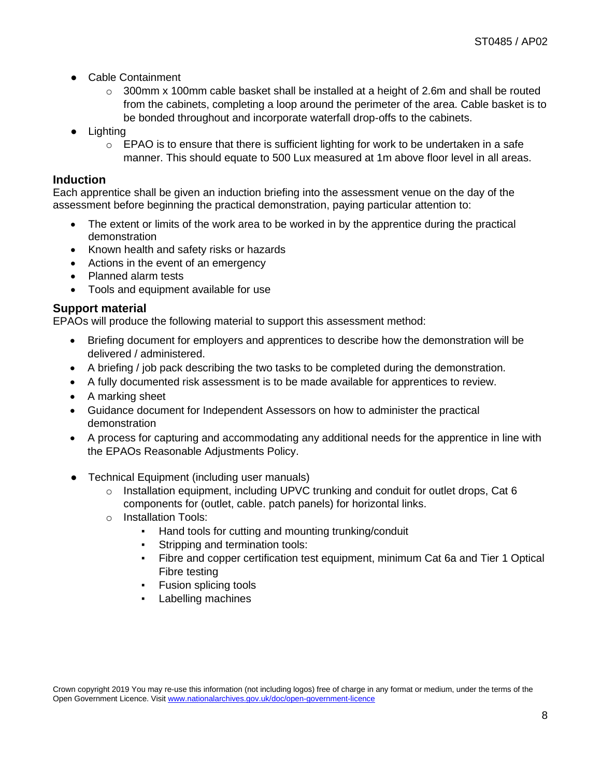- Cable Containment
	- $\circ$  300mm x 100mm cable basket shall be installed at a height of 2.6m and shall be routed from the cabinets, completing a loop around the perimeter of the area. Cable basket is to be bonded throughout and incorporate waterfall drop-offs to the cabinets.
- Lighting
	- $\circ$  EPAO is to ensure that there is sufficient lighting for work to be undertaken in a safe manner. This should equate to 500 Lux measured at 1m above floor level in all areas.

### **Induction**

Each apprentice shall be given an induction briefing into the assessment venue on the day of the assessment before beginning the practical demonstration, paying particular attention to:

- The extent or limits of the work area to be worked in by the apprentice during the practical demonstration
- Known health and safety risks or hazards
- Actions in the event of an emergency
- Planned alarm tests
- Tools and equipment available for use

### **Support material**

EPAOs will produce the following material to support this assessment method:

- Briefing document for employers and apprentices to describe how the demonstration will be delivered / administered.
- A briefing / job pack describing the two tasks to be completed during the demonstration.
- A fully documented risk assessment is to be made available for apprentices to review.
- A marking sheet
- Guidance document for Independent Assessors on how to administer the practical demonstration
- A process for capturing and accommodating any additional needs for the apprentice in line with the EPAOs Reasonable Adjustments Policy.
- Technical Equipment (including user manuals)
	- $\circ$  Installation equipment, including UPVC trunking and conduit for outlet drops, Cat 6 components for (outlet, cable. patch panels) for horizontal links.
	- o Installation Tools:
		- Hand tools for cutting and mounting trunking/conduit
		- Stripping and termination tools:
		- Fibre and copper certification test equipment, minimum Cat 6a and Tier 1 Optical Fibre testing
		- Fusion splicing tools
		- Labelling machines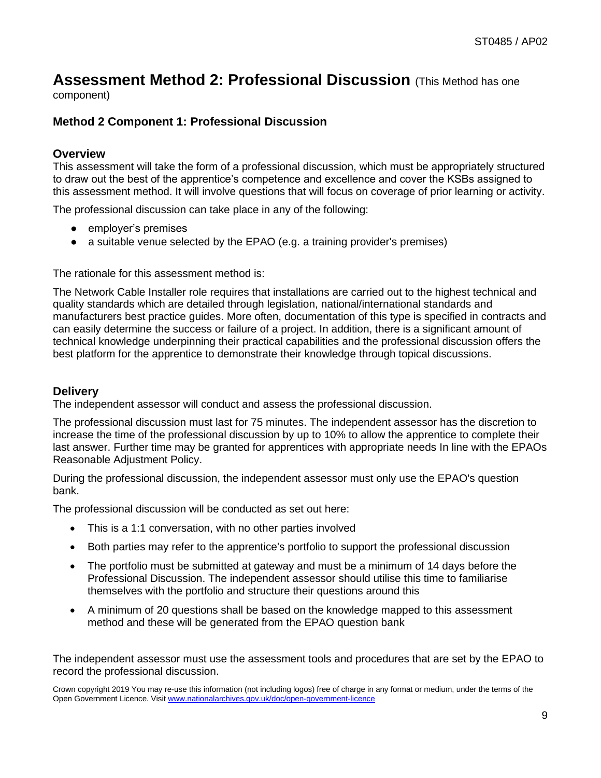### **Assessment Method 2: Professional Discussion** (This Method has one

component)

### **Method 2 Component 1: Professional Discussion**

#### **Overview**

This assessment will take the form of a professional discussion, which must be appropriately structured to draw out the best of the apprentice's competence and excellence and cover the KSBs assigned to this assessment method. It will involve questions that will focus on coverage of prior learning or activity.

The professional discussion can take place in any of the following:

- employer's premises
- a suitable venue selected by the EPAO (e.g. a training provider's premises)

The rationale for this assessment method is:

The Network Cable Installer role requires that installations are carried out to the highest technical and quality standards which are detailed through legislation, national/international standards and manufacturers best practice guides. More often, documentation of this type is specified in contracts and can easily determine the success or failure of a project. In addition, there is a significant amount of technical knowledge underpinning their practical capabilities and the professional discussion offers the best platform for the apprentice to demonstrate their knowledge through topical discussions.

#### **Delivery**

The independent assessor will conduct and assess the professional discussion.

The professional discussion must last for 75 minutes. The independent assessor has the discretion to increase the time of the professional discussion by up to 10% to allow the apprentice to complete their last answer. Further time may be granted for apprentices with appropriate needs In line with the EPAOs Reasonable Adjustment Policy.

During the professional discussion, the independent assessor must only use the EPAO's question bank.

The professional discussion will be conducted as set out here:

- This is a 1:1 conversation, with no other parties involved
- Both parties may refer to the apprentice's portfolio to support the professional discussion
- The portfolio must be submitted at gateway and must be a minimum of 14 days before the Professional Discussion. The independent assessor should utilise this time to familiarise themselves with the portfolio and structure their questions around this
- A minimum of 20 questions shall be based on the knowledge mapped to this assessment method and these will be generated from the EPAO question bank

The independent assessor must use the assessment tools and procedures that are set by the EPAO to record the professional discussion.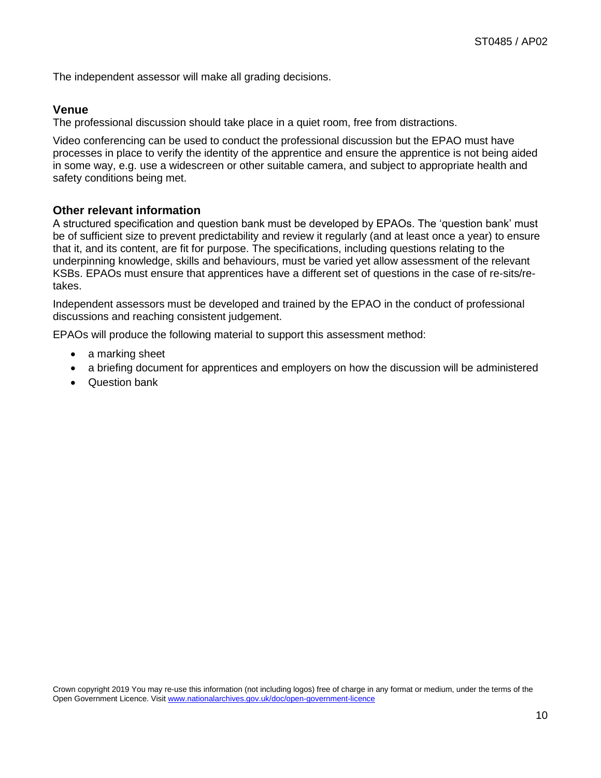The independent assessor will make all grading decisions.

### **Venue**

The professional discussion should take place in a quiet room, free from distractions.

Video conferencing can be used to conduct the professional discussion but the EPAO must have processes in place to verify the identity of the apprentice and ensure the apprentice is not being aided in some way, e.g. use a widescreen or other suitable camera, and subject to appropriate health and safety conditions being met.

### **Other relevant information**

A structured specification and question bank must be developed by EPAOs. The 'question bank' must be of sufficient size to prevent predictability and review it regularly (and at least once a year) to ensure that it, and its content, are fit for purpose. The specifications, including questions relating to the underpinning knowledge, skills and behaviours, must be varied yet allow assessment of the relevant KSBs. EPAOs must ensure that apprentices have a different set of questions in the case of re-sits/retakes.

Independent assessors must be developed and trained by the EPAO in the conduct of professional discussions and reaching consistent judgement.

EPAOs will produce the following material to support this assessment method:

- a marking sheet
- a briefing document for apprentices and employers on how the discussion will be administered
- <span id="page-9-0"></span>• Question bank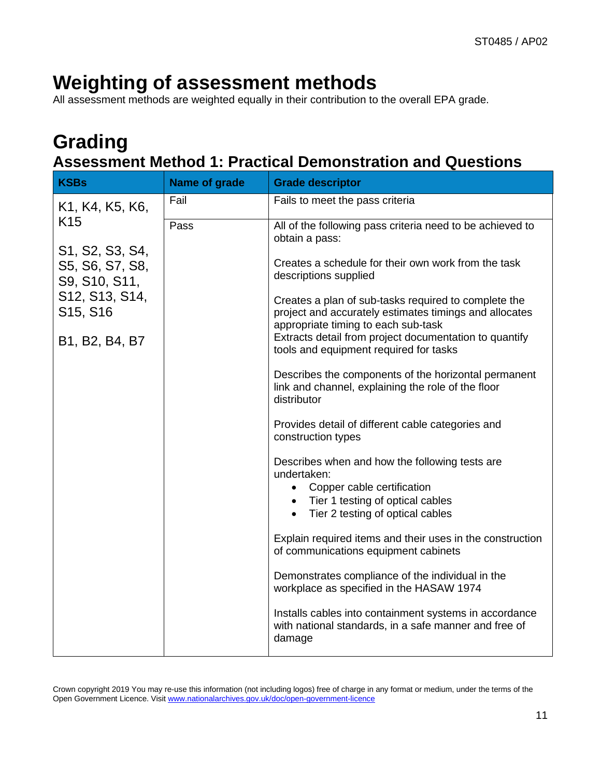# **Weighting of assessment methods**

All assessment methods are weighted equally in their contribution to the overall EPA grade.

### <span id="page-10-0"></span>**Grading Assessment Method 1: Practical Demonstration and Questions**

| <b>KSBs</b>                                         | Name of grade | <b>Grade descriptor</b>                                                                                                                               |  |
|-----------------------------------------------------|---------------|-------------------------------------------------------------------------------------------------------------------------------------------------------|--|
| K1, K4, K5, K6,                                     | Fail          | Fails to meet the pass criteria                                                                                                                       |  |
| K <sub>15</sub>                                     | Pass          | All of the following pass criteria need to be achieved to<br>obtain a pass:                                                                           |  |
| S1, S2, S3, S4,<br>S5, S6, S7, S8,<br>S9, S10, S11, |               | Creates a schedule for their own work from the task<br>descriptions supplied                                                                          |  |
| S12, S13, S14,<br>S <sub>15</sub> , S <sub>16</sub> |               | Creates a plan of sub-tasks required to complete the<br>project and accurately estimates timings and allocates<br>appropriate timing to each sub-task |  |
| B1, B2, B4, B7                                      |               | Extracts detail from project documentation to quantify<br>tools and equipment required for tasks                                                      |  |
|                                                     |               | Describes the components of the horizontal permanent<br>link and channel, explaining the role of the floor<br>distributor                             |  |
|                                                     |               | Provides detail of different cable categories and<br>construction types                                                                               |  |
|                                                     |               | Describes when and how the following tests are<br>undertaken:                                                                                         |  |
|                                                     |               | • Copper cable certification                                                                                                                          |  |
|                                                     |               |                                                                                                                                                       |  |
|                                                     |               | Explain required items and their uses in the construction<br>of communications equipment cabinets                                                     |  |
|                                                     |               | Demonstrates compliance of the individual in the<br>workplace as specified in the HASAW 1974                                                          |  |
|                                                     |               | Installs cables into containment systems in accordance<br>with national standards, in a safe manner and free of<br>damage                             |  |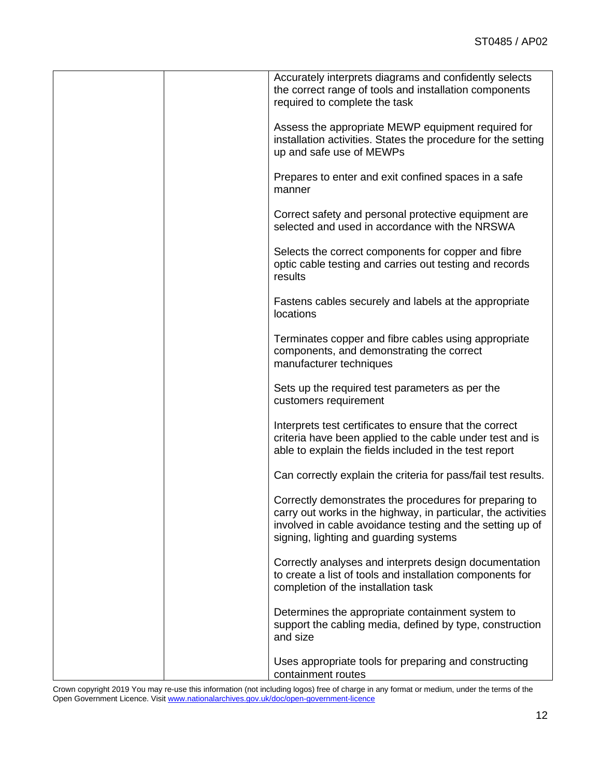| Accurately interprets diagrams and confidently selects<br>the correct range of tools and installation components<br>required to complete the task                                                                              |
|--------------------------------------------------------------------------------------------------------------------------------------------------------------------------------------------------------------------------------|
| Assess the appropriate MEWP equipment required for<br>installation activities. States the procedure for the setting<br>up and safe use of MEWPs                                                                                |
| Prepares to enter and exit confined spaces in a safe<br>manner                                                                                                                                                                 |
| Correct safety and personal protective equipment are<br>selected and used in accordance with the NRSWA                                                                                                                         |
| Selects the correct components for copper and fibre<br>optic cable testing and carries out testing and records<br>results                                                                                                      |
| Fastens cables securely and labels at the appropriate<br><b>locations</b>                                                                                                                                                      |
| Terminates copper and fibre cables using appropriate<br>components, and demonstrating the correct<br>manufacturer techniques                                                                                                   |
| Sets up the required test parameters as per the<br>customers requirement                                                                                                                                                       |
| Interprets test certificates to ensure that the correct<br>criteria have been applied to the cable under test and is<br>able to explain the fields included in the test report                                                 |
| Can correctly explain the criteria for pass/fail test results.                                                                                                                                                                 |
| Correctly demonstrates the procedures for preparing to<br>carry out works in the highway, in particular, the activities<br>involved in cable avoidance testing and the setting up of<br>signing, lighting and guarding systems |
| Correctly analyses and interprets design documentation<br>to create a list of tools and installation components for<br>completion of the installation task                                                                     |
| Determines the appropriate containment system to<br>support the cabling media, defined by type, construction<br>and size                                                                                                       |
| Uses appropriate tools for preparing and constructing<br>containment routes                                                                                                                                                    |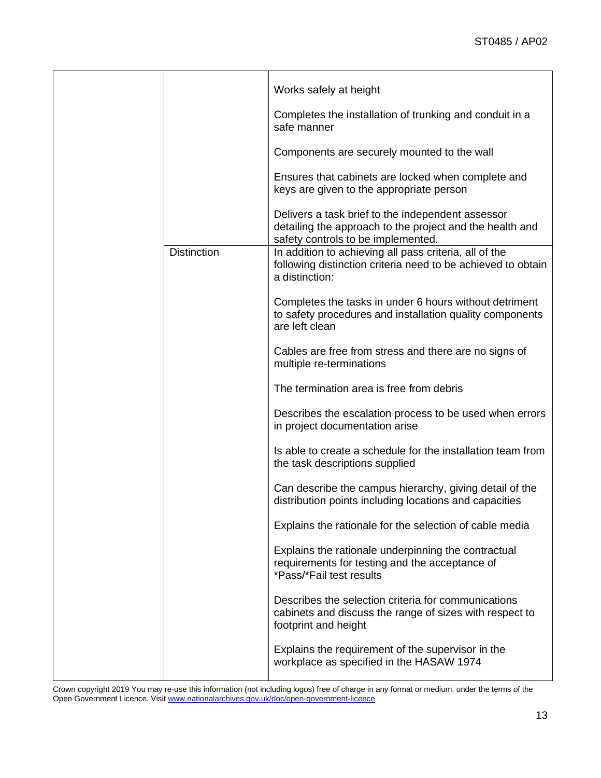|                    | Works safely at height                                                                                                                              |
|--------------------|-----------------------------------------------------------------------------------------------------------------------------------------------------|
|                    | Completes the installation of trunking and conduit in a<br>safe manner                                                                              |
|                    | Components are securely mounted to the wall                                                                                                         |
|                    | Ensures that cabinets are locked when complete and<br>keys are given to the appropriate person                                                      |
|                    | Delivers a task brief to the independent assessor<br>detailing the approach to the project and the health and<br>safety controls to be implemented. |
| <b>Distinction</b> | In addition to achieving all pass criteria, all of the<br>following distinction criteria need to be achieved to obtain<br>a distinction:            |
|                    | Completes the tasks in under 6 hours without detriment<br>to safety procedures and installation quality components<br>are left clean                |
|                    | Cables are free from stress and there are no signs of<br>multiple re-terminations                                                                   |
|                    | The termination area is free from debris                                                                                                            |
|                    | Describes the escalation process to be used when errors<br>in project documentation arise                                                           |
|                    | Is able to create a schedule for the installation team from<br>the task descriptions supplied                                                       |
|                    | Can describe the campus hierarchy, giving detail of the<br>distribution points including locations and capacities                                   |
|                    | Explains the rationale for the selection of cable media                                                                                             |
|                    | Explains the rationale underpinning the contractual<br>requirements for testing and the acceptance of<br>*Pass/*Fail test results                   |
|                    | Describes the selection criteria for communications<br>cabinets and discuss the range of sizes with respect to<br>footprint and height              |
|                    | Explains the requirement of the supervisor in the<br>workplace as specified in the HASAW 1974                                                       |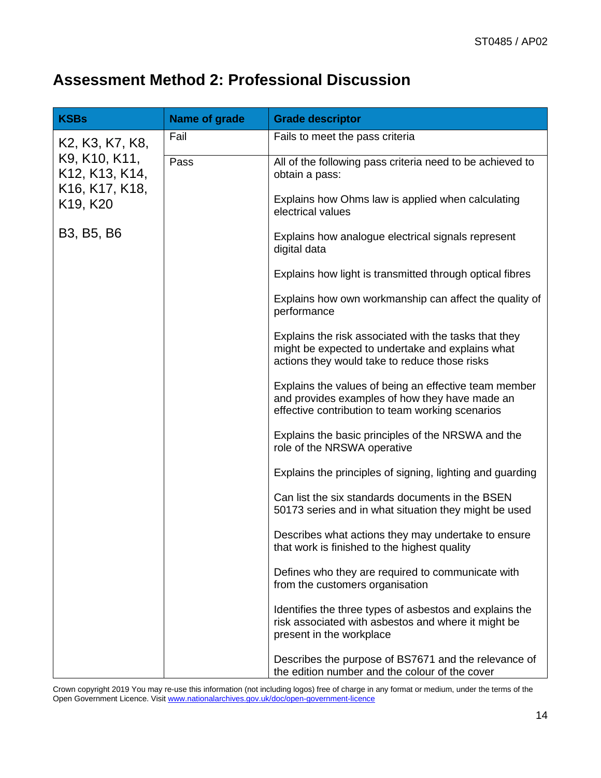### **Assessment Method 2: Professional Discussion**

| <b>KSBs</b>                                                                                                                                                    | Name of grade | <b>Grade descriptor</b>                                                                                                                                     |
|----------------------------------------------------------------------------------------------------------------------------------------------------------------|---------------|-------------------------------------------------------------------------------------------------------------------------------------------------------------|
| K2, K3, K7, K8,<br>K9, K10, K11,<br>K <sub>12</sub> , K <sub>13</sub> , K <sub>14</sub> ,<br>K <sub>16</sub> , K <sub>17</sub> , K <sub>18</sub> ,<br>K19, K20 | Fail          | Fails to meet the pass criteria                                                                                                                             |
|                                                                                                                                                                | Pass          | All of the following pass criteria need to be achieved to<br>obtain a pass:                                                                                 |
|                                                                                                                                                                |               | Explains how Ohms law is applied when calculating<br>electrical values                                                                                      |
| B3, B5, B6                                                                                                                                                     |               | Explains how analogue electrical signals represent<br>digital data                                                                                          |
|                                                                                                                                                                |               | Explains how light is transmitted through optical fibres                                                                                                    |
|                                                                                                                                                                |               | Explains how own workmanship can affect the quality of<br>performance                                                                                       |
|                                                                                                                                                                |               | Explains the risk associated with the tasks that they<br>might be expected to undertake and explains what<br>actions they would take to reduce those risks  |
|                                                                                                                                                                |               | Explains the values of being an effective team member<br>and provides examples of how they have made an<br>effective contribution to team working scenarios |
|                                                                                                                                                                |               | Explains the basic principles of the NRSWA and the<br>role of the NRSWA operative                                                                           |
|                                                                                                                                                                |               | Explains the principles of signing, lighting and guarding                                                                                                   |
|                                                                                                                                                                |               | Can list the six standards documents in the BSEN<br>50173 series and in what situation they might be used                                                   |
|                                                                                                                                                                |               | Describes what actions they may undertake to ensure<br>that work is finished to the highest quality                                                         |
|                                                                                                                                                                |               | Defines who they are required to communicate with<br>from the customers organisation                                                                        |
|                                                                                                                                                                |               | Identifies the three types of asbestos and explains the<br>risk associated with asbestos and where it might be<br>present in the workplace                  |
|                                                                                                                                                                |               | Describes the purpose of BS7671 and the relevance of<br>the edition number and the colour of the cover                                                      |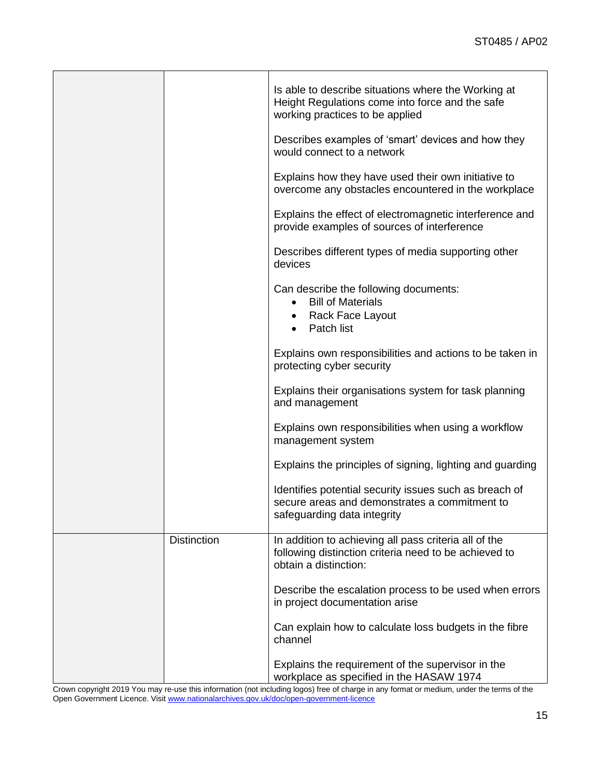|                    | Is able to describe situations where the Working at<br>Height Regulations come into force and the safe<br>working practices to be applied |
|--------------------|-------------------------------------------------------------------------------------------------------------------------------------------|
|                    | Describes examples of 'smart' devices and how they<br>would connect to a network                                                          |
|                    | Explains how they have used their own initiative to<br>overcome any obstacles encountered in the workplace                                |
|                    | Explains the effect of electromagnetic interference and<br>provide examples of sources of interference                                    |
|                    | Describes different types of media supporting other<br>devices                                                                            |
|                    | Can describe the following documents:<br><b>Bill of Materials</b><br>Rack Face Layout<br>Patch list                                       |
|                    | Explains own responsibilities and actions to be taken in<br>protecting cyber security                                                     |
|                    | Explains their organisations system for task planning<br>and management                                                                   |
|                    | Explains own responsibilities when using a workflow<br>management system                                                                  |
|                    | Explains the principles of signing, lighting and guarding                                                                                 |
|                    | Identifies potential security issues such as breach of<br>secure areas and demonstrates a commitment to<br>safeguarding data integrity    |
| <b>Distinction</b> | In addition to achieving all pass criteria all of the<br>following distinction criteria need to be achieved to<br>obtain a distinction:   |
|                    | Describe the escalation process to be used when errors<br>in project documentation arise                                                  |
|                    | Can explain how to calculate loss budgets in the fibre<br>channel                                                                         |
|                    | Explains the requirement of the supervisor in the<br>workplace as specified in the HASAW 1974                                             |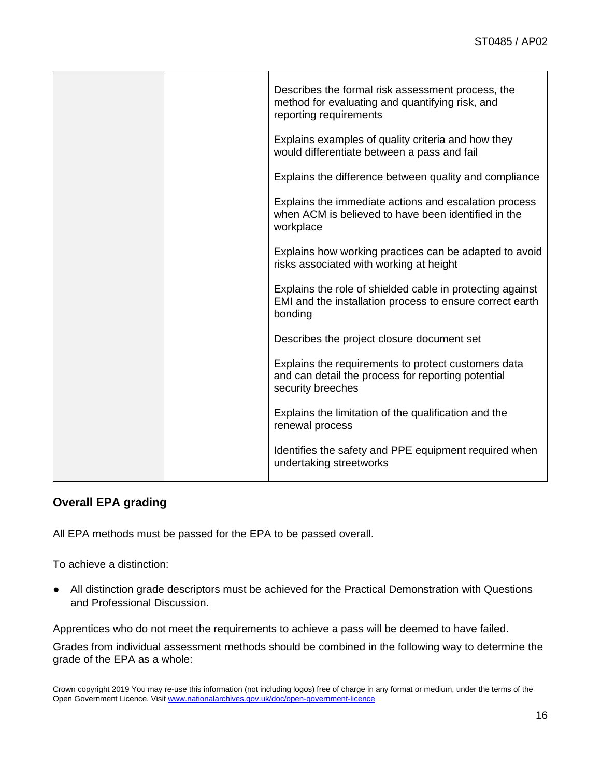|  | Describes the formal risk assessment process, the<br>method for evaluating and quantifying risk, and<br>reporting requirements   |
|--|----------------------------------------------------------------------------------------------------------------------------------|
|  | Explains examples of quality criteria and how they<br>would differentiate between a pass and fail                                |
|  | Explains the difference between quality and compliance                                                                           |
|  | Explains the immediate actions and escalation process<br>when ACM is believed to have been identified in the<br>workplace        |
|  | Explains how working practices can be adapted to avoid<br>risks associated with working at height                                |
|  | Explains the role of shielded cable in protecting against<br>EMI and the installation process to ensure correct earth<br>bonding |
|  | Describes the project closure document set                                                                                       |
|  | Explains the requirements to protect customers data<br>and can detail the process for reporting potential<br>security breeches   |
|  | Explains the limitation of the qualification and the<br>renewal process                                                          |
|  | Identifies the safety and PPE equipment required when<br>undertaking streetworks                                                 |

### **Overall EPA grading**

All EPA methods must be passed for the EPA to be passed overall.

To achieve a distinction:

● All distinction grade descriptors must be achieved for the Practical Demonstration with Questions and Professional Discussion.

Apprentices who do not meet the requirements to achieve a pass will be deemed to have failed.

Grades from individual assessment methods should be combined in the following way to determine the grade of the EPA as a whole:

Crown copyright 2019 You may re-use this information (not including logos) free of charge in any format or medium, under the terms of the Open Government Licence. Visi[t www.nationalarchives.gov.uk/doc/open-government-licence](http://www.nationalarchives.gov.uk/doc/open-government-licence)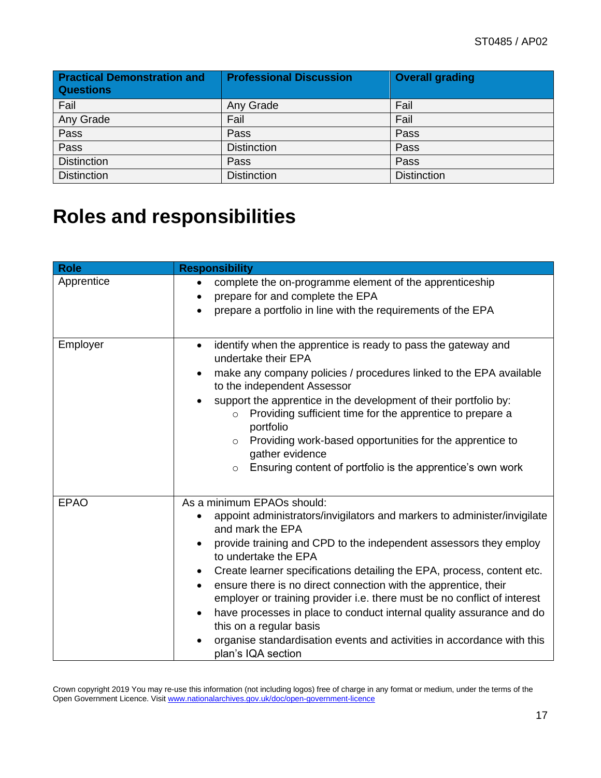| <b>Practical Demonstration and</b><br><b>Questions</b> | <b>Professional Discussion</b> | <b>Overall grading</b> |
|--------------------------------------------------------|--------------------------------|------------------------|
| Fail                                                   | Any Grade                      | Fail                   |
| Any Grade                                              | Fail                           | Fail                   |
| Pass                                                   | Pass                           | Pass                   |
| Pass                                                   | <b>Distinction</b>             | Pass                   |
| <b>Distinction</b>                                     | Pass                           | Pass                   |
| <b>Distinction</b>                                     | <b>Distinction</b>             | <b>Distinction</b>     |

# <span id="page-16-0"></span>**Roles and responsibilities**

| <b>Role</b> | <b>Responsibility</b>                                                                                                                                                                                                                                                                                                                                                                                                                                                                                                                                                                                                                               |
|-------------|-----------------------------------------------------------------------------------------------------------------------------------------------------------------------------------------------------------------------------------------------------------------------------------------------------------------------------------------------------------------------------------------------------------------------------------------------------------------------------------------------------------------------------------------------------------------------------------------------------------------------------------------------------|
| Apprentice  | complete the on-programme element of the apprenticeship<br>prepare for and complete the EPA<br>prepare a portfolio in line with the requirements of the EPA                                                                                                                                                                                                                                                                                                                                                                                                                                                                                         |
| Employer    | identify when the apprentice is ready to pass the gateway and<br>$\bullet$<br>undertake their EPA<br>make any company policies / procedures linked to the EPA available<br>to the independent Assessor<br>support the apprentice in the development of their portfolio by:<br>Providing sufficient time for the apprentice to prepare a<br>$\circ$<br>portfolio<br>Providing work-based opportunities for the apprentice to<br>$\circ$<br>gather evidence<br>Ensuring content of portfolio is the apprentice's own work<br>$\circ$                                                                                                                  |
| <b>EPAO</b> | As a minimum EPAOs should:<br>appoint administrators/invigilators and markers to administer/invigilate<br>and mark the EPA<br>provide training and CPD to the independent assessors they employ<br>to undertake the EPA<br>Create learner specifications detailing the EPA, process, content etc.<br>ensure there is no direct connection with the apprentice, their<br>employer or training provider i.e. there must be no conflict of interest<br>have processes in place to conduct internal quality assurance and do<br>this on a regular basis<br>organise standardisation events and activities in accordance with this<br>plan's IQA section |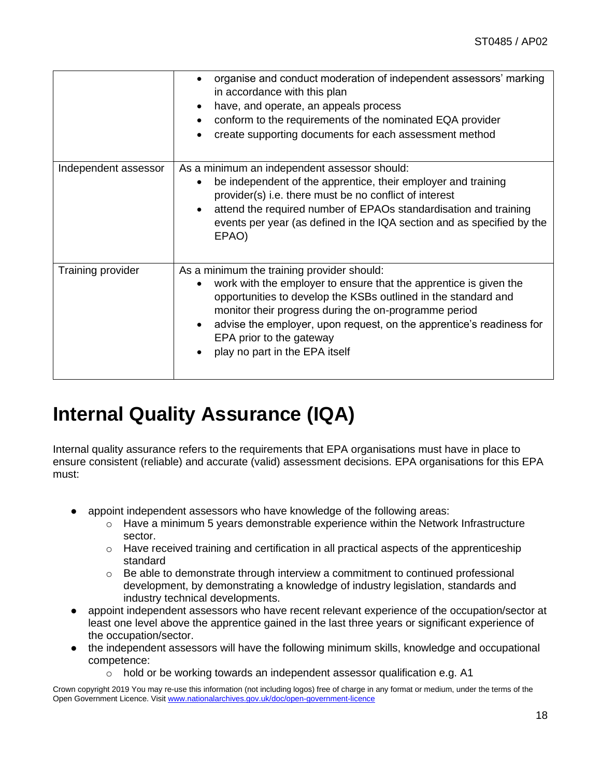|                      | organise and conduct moderation of independent assessors' marking<br>in accordance with this plan<br>have, and operate, an appeals process<br>conform to the requirements of the nominated EQA provider<br>create supporting documents for each assessment method                                                                                                                |
|----------------------|----------------------------------------------------------------------------------------------------------------------------------------------------------------------------------------------------------------------------------------------------------------------------------------------------------------------------------------------------------------------------------|
| Independent assessor | As a minimum an independent assessor should:<br>be independent of the apprentice, their employer and training<br>provider(s) i.e. there must be no conflict of interest<br>attend the required number of EPAOs standardisation and training<br>events per year (as defined in the IQA section and as specified by the<br>EPAO)                                                   |
| Training provider    | As a minimum the training provider should:<br>work with the employer to ensure that the apprentice is given the<br>opportunities to develop the KSBs outlined in the standard and<br>monitor their progress during the on-programme period<br>advise the employer, upon request, on the apprentice's readiness for<br>EPA prior to the gateway<br>play no part in the EPA itself |

## <span id="page-17-0"></span>**Internal Quality Assurance (IQA)**

Internal quality assurance refers to the requirements that EPA organisations must have in place to ensure consistent (reliable) and accurate (valid) assessment decisions. EPA organisations for this EPA must:

- appoint independent assessors who have knowledge of the following areas:
	- $\circ$  Have a minimum 5 years demonstrable experience within the Network Infrastructure sector.
	- o Have received training and certification in all practical aspects of the apprenticeship standard
	- $\circ$  Be able to demonstrate through interview a commitment to continued professional development, by demonstrating a knowledge of industry legislation, standards and industry technical developments.
- appoint independent assessors who have recent relevant experience of the occupation/sector at least one level above the apprentice gained in the last three years or significant experience of the occupation/sector.
- the independent assessors will have the following minimum skills, knowledge and occupational competence:
	- o hold or be working towards an independent assessor qualification e.g. A1

Crown copyright 2019 You may re-use this information (not including logos) free of charge in any format or medium, under the terms of the Open Government Licence. Visi[t www.nationalarchives.gov.uk/doc/open-government-licence](http://www.nationalarchives.gov.uk/doc/open-government-licence)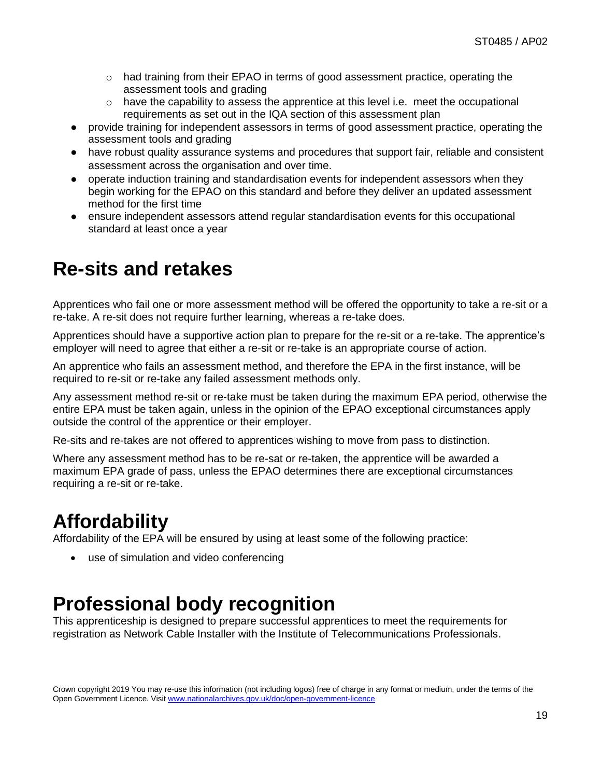- $\circ$  had training from their EPAO in terms of good assessment practice, operating the assessment tools and grading
- $\circ$  have the capability to assess the apprentice at this level i.e. meet the occupational requirements as set out in the IQA section of this assessment plan
- provide training for independent assessors in terms of good assessment practice, operating the assessment tools and grading
- have robust quality assurance systems and procedures that support fair, reliable and consistent assessment across the organisation and over time.
- operate induction training and standardisation events for independent assessors when they begin working for the EPAO on this standard and before they deliver an updated assessment method for the first time
- ensure independent assessors attend regular standardisation events for this occupational standard at least once a year

## <span id="page-18-0"></span>**Re-sits and retakes**

Apprentices who fail one or more assessment method will be offered the opportunity to take a re-sit or a re-take. A re-sit does not require further learning, whereas a re-take does.

Apprentices should have a supportive action plan to prepare for the re-sit or a re-take. The apprentice's employer will need to agree that either a re-sit or re-take is an appropriate course of action.

An apprentice who fails an assessment method, and therefore the EPA in the first instance, will be required to re-sit or re-take any failed assessment methods only.

Any assessment method re-sit or re-take must be taken during the maximum EPA period, otherwise the entire EPA must be taken again, unless in the opinion of the EPAO exceptional circumstances apply outside the control of the apprentice or their employer.

Re-sits and re-takes are not offered to apprentices wishing to move from pass to distinction.

Where any assessment method has to be re-sat or re-taken, the apprentice will be awarded a maximum EPA grade of pass, unless the EPAO determines there are exceptional circumstances requiring a re-sit or re-take.

## <span id="page-18-1"></span>**Affordability**

Affordability of the EPA will be ensured by using at least some of the following practice:

• use of simulation and video conferencing

## <span id="page-18-2"></span>**Professional body recognition**

<span id="page-18-3"></span>This apprenticeship is designed to prepare successful apprentices to meet the requirements for registration as Network Cable Installer with the Institute of Telecommunications Professionals.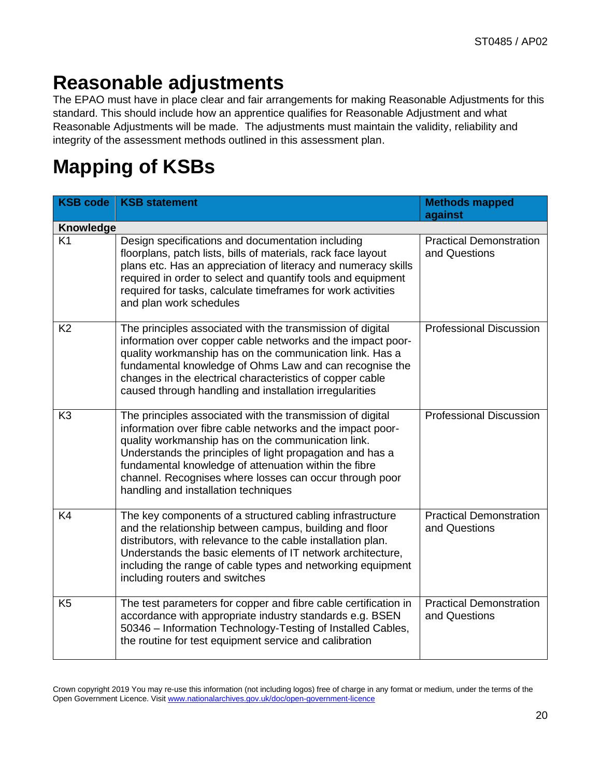## **Reasonable adjustments**

The EPAO must have in place clear and fair arrangements for making Reasonable Adjustments for this standard. This should include how an apprentice qualifies for Reasonable Adjustment and what Reasonable Adjustments will be made. The adjustments must maintain the validity, reliability and integrity of the assessment methods outlined in this assessment plan.

# <span id="page-19-0"></span>**Mapping of KSBs**

| <b>KSB code</b> | <b>KSB statement</b>                                                                                                                                                                                                                                                                                                                                                                                    | <b>Methods mapped</b><br>against                |  |  |
|-----------------|---------------------------------------------------------------------------------------------------------------------------------------------------------------------------------------------------------------------------------------------------------------------------------------------------------------------------------------------------------------------------------------------------------|-------------------------------------------------|--|--|
| Knowledge       |                                                                                                                                                                                                                                                                                                                                                                                                         |                                                 |  |  |
| K <sub>1</sub>  | Design specifications and documentation including<br>floorplans, patch lists, bills of materials, rack face layout<br>plans etc. Has an appreciation of literacy and numeracy skills<br>required in order to select and quantify tools and equipment<br>required for tasks, calculate timeframes for work activities<br>and plan work schedules                                                         | <b>Practical Demonstration</b><br>and Questions |  |  |
| K <sub>2</sub>  | The principles associated with the transmission of digital<br>information over copper cable networks and the impact poor-<br>quality workmanship has on the communication link. Has a<br>fundamental knowledge of Ohms Law and can recognise the<br>changes in the electrical characteristics of copper cable<br>caused through handling and installation irregularities                                | <b>Professional Discussion</b>                  |  |  |
| K <sub>3</sub>  | The principles associated with the transmission of digital<br>information over fibre cable networks and the impact poor-<br>quality workmanship has on the communication link.<br>Understands the principles of light propagation and has a<br>fundamental knowledge of attenuation within the fibre<br>channel. Recognises where losses can occur through poor<br>handling and installation techniques | <b>Professional Discussion</b>                  |  |  |
| K <sub>4</sub>  | The key components of a structured cabling infrastructure<br>and the relationship between campus, building and floor<br>distributors, with relevance to the cable installation plan.<br>Understands the basic elements of IT network architecture,<br>including the range of cable types and networking equipment<br>including routers and switches                                                     | <b>Practical Demonstration</b><br>and Questions |  |  |
| K <sub>5</sub>  | The test parameters for copper and fibre cable certification in<br>accordance with appropriate industry standards e.g. BSEN<br>50346 - Information Technology-Testing of Installed Cables,<br>the routine for test equipment service and calibration                                                                                                                                                    | <b>Practical Demonstration</b><br>and Questions |  |  |

Crown copyright 2019 You may re-use this information (not including logos) free of charge in any format or medium, under the terms of the Open Government Licence. Visi[t www.nationalarchives.gov.uk/doc/open-government-licence](http://www.nationalarchives.gov.uk/doc/open-government-licence)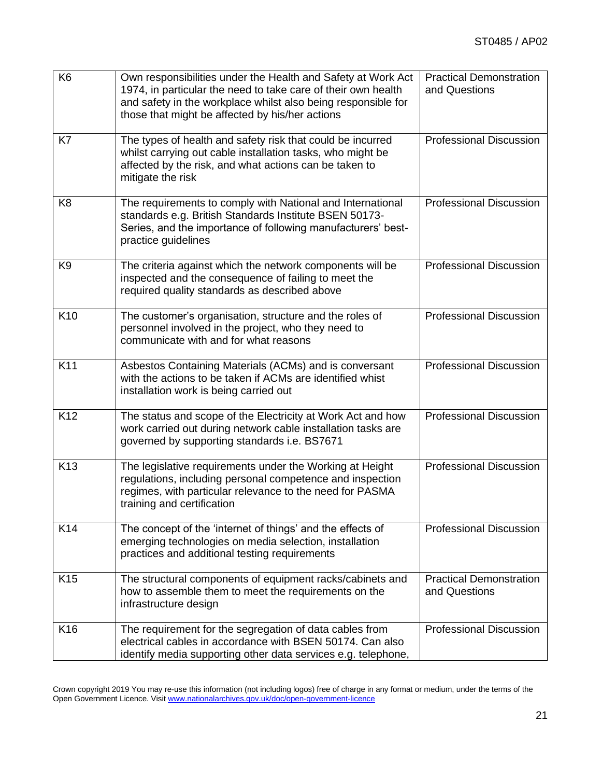| K <sub>6</sub>  | Own responsibilities under the Health and Safety at Work Act<br>1974, in particular the need to take care of their own health<br>and safety in the workplace whilst also being responsible for<br>those that might be affected by his/her actions | <b>Practical Demonstration</b><br>and Questions |
|-----------------|---------------------------------------------------------------------------------------------------------------------------------------------------------------------------------------------------------------------------------------------------|-------------------------------------------------|
| K7              | The types of health and safety risk that could be incurred<br>whilst carrying out cable installation tasks, who might be<br>affected by the risk, and what actions can be taken to<br>mitigate the risk                                           | <b>Professional Discussion</b>                  |
| K <sub>8</sub>  | The requirements to comply with National and International<br>standards e.g. British Standards Institute BSEN 50173-<br>Series, and the importance of following manufacturers' best-<br>practice guidelines                                       | <b>Professional Discussion</b>                  |
| K <sub>9</sub>  | The criteria against which the network components will be<br>inspected and the consequence of failing to meet the<br>required quality standards as described above                                                                                | <b>Professional Discussion</b>                  |
| K <sub>10</sub> | The customer's organisation, structure and the roles of<br>personnel involved in the project, who they need to<br>communicate with and for what reasons                                                                                           | <b>Professional Discussion</b>                  |
| K11             | Asbestos Containing Materials (ACMs) and is conversant<br>with the actions to be taken if ACMs are identified whist<br>installation work is being carried out                                                                                     | <b>Professional Discussion</b>                  |
| K12             | The status and scope of the Electricity at Work Act and how<br>work carried out during network cable installation tasks are<br>governed by supporting standards i.e. BS7671                                                                       | <b>Professional Discussion</b>                  |
| K <sub>13</sub> | The legislative requirements under the Working at Height<br>regulations, including personal competence and inspection<br>regimes, with particular relevance to the need for PASMA<br>training and certification                                   | <b>Professional Discussion</b>                  |
| K14             | The concept of the 'internet of things' and the effects of<br>emerging technologies on media selection, installation<br>practices and additional testing requirements                                                                             | <b>Professional Discussion</b>                  |
| K <sub>15</sub> | The structural components of equipment racks/cabinets and<br>how to assemble them to meet the requirements on the<br>infrastructure design                                                                                                        | <b>Practical Demonstration</b><br>and Questions |
| K <sub>16</sub> | The requirement for the segregation of data cables from<br>electrical cables in accordance with BSEN 50174. Can also<br>identify media supporting other data services e.g. telephone,                                                             | <b>Professional Discussion</b>                  |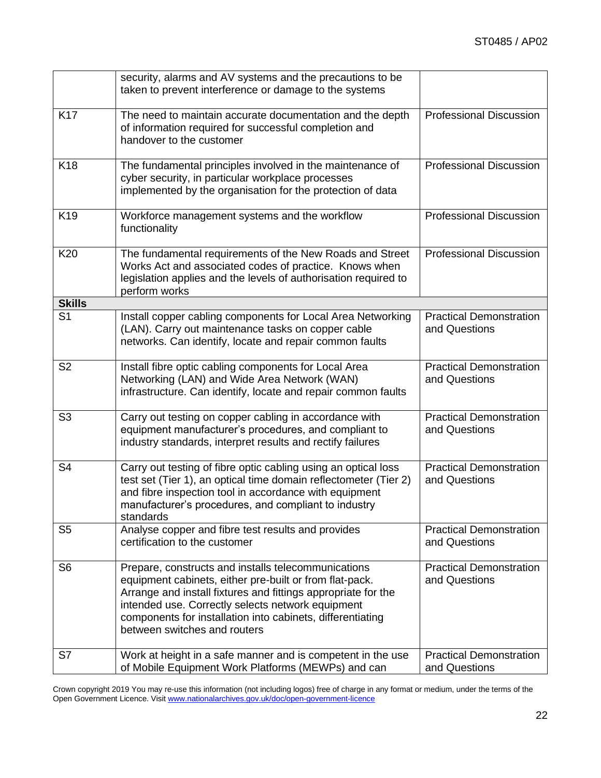|                 | security, alarms and AV systems and the precautions to be<br>taken to prevent interference or damage to the systems                                                                                                                                                                                                                |                                                 |
|-----------------|------------------------------------------------------------------------------------------------------------------------------------------------------------------------------------------------------------------------------------------------------------------------------------------------------------------------------------|-------------------------------------------------|
| <b>K17</b>      | The need to maintain accurate documentation and the depth<br>of information required for successful completion and<br>handover to the customer                                                                                                                                                                                     | <b>Professional Discussion</b>                  |
| K <sub>18</sub> | The fundamental principles involved in the maintenance of<br>cyber security, in particular workplace processes<br>implemented by the organisation for the protection of data                                                                                                                                                       | <b>Professional Discussion</b>                  |
| K <sub>19</sub> | Workforce management systems and the workflow<br>functionality                                                                                                                                                                                                                                                                     | <b>Professional Discussion</b>                  |
| K20             | The fundamental requirements of the New Roads and Street<br>Works Act and associated codes of practice. Knows when<br>legislation applies and the levels of authorisation required to<br>perform works                                                                                                                             | <b>Professional Discussion</b>                  |
| <b>Skills</b>   |                                                                                                                                                                                                                                                                                                                                    |                                                 |
| S <sub>1</sub>  | Install copper cabling components for Local Area Networking<br>(LAN). Carry out maintenance tasks on copper cable<br>networks. Can identify, locate and repair common faults                                                                                                                                                       | <b>Practical Demonstration</b><br>and Questions |
| S <sub>2</sub>  | Install fibre optic cabling components for Local Area<br>Networking (LAN) and Wide Area Network (WAN)<br>infrastructure. Can identify, locate and repair common faults                                                                                                                                                             | <b>Practical Demonstration</b><br>and Questions |
| S <sub>3</sub>  | Carry out testing on copper cabling in accordance with<br>equipment manufacturer's procedures, and compliant to<br>industry standards, interpret results and rectify failures                                                                                                                                                      | <b>Practical Demonstration</b><br>and Questions |
| S <sub>4</sub>  | Carry out testing of fibre optic cabling using an optical loss<br>test set (Tier 1), an optical time domain reflectometer (Tier 2)<br>and fibre inspection tool in accordance with equipment<br>manufacturer's procedures, and compliant to industry<br>standards                                                                  | <b>Practical Demonstration</b><br>and Questions |
| S <sub>5</sub>  | Analyse copper and fibre test results and provides<br>certification to the customer                                                                                                                                                                                                                                                | <b>Practical Demonstration</b><br>and Questions |
| S <sub>6</sub>  | Prepare, constructs and installs telecommunications<br>equipment cabinets, either pre-built or from flat-pack.<br>Arrange and install fixtures and fittings appropriate for the<br>intended use. Correctly selects network equipment<br>components for installation into cabinets, differentiating<br>between switches and routers | <b>Practical Demonstration</b><br>and Questions |
| S7              | Work at height in a safe manner and is competent in the use<br>of Mobile Equipment Work Platforms (MEWPs) and can                                                                                                                                                                                                                  | <b>Practical Demonstration</b><br>and Questions |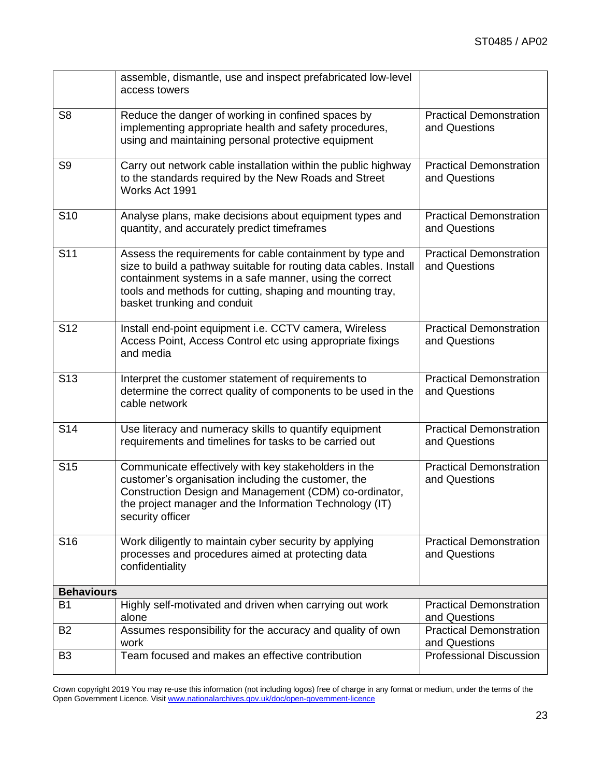|                   | assemble, dismantle, use and inspect prefabricated low-level<br>access towers                                                                                                                                                                                                         |                                                 |
|-------------------|---------------------------------------------------------------------------------------------------------------------------------------------------------------------------------------------------------------------------------------------------------------------------------------|-------------------------------------------------|
| S <sub>8</sub>    | Reduce the danger of working in confined spaces by<br>implementing appropriate health and safety procedures,<br>using and maintaining personal protective equipment                                                                                                                   | <b>Practical Demonstration</b><br>and Questions |
| S <sub>9</sub>    | Carry out network cable installation within the public highway<br>to the standards required by the New Roads and Street<br>Works Act 1991                                                                                                                                             | <b>Practical Demonstration</b><br>and Questions |
| S <sub>10</sub>   | Analyse plans, make decisions about equipment types and<br>quantity, and accurately predict timeframes                                                                                                                                                                                | <b>Practical Demonstration</b><br>and Questions |
| S <sub>11</sub>   | Assess the requirements for cable containment by type and<br>size to build a pathway suitable for routing data cables. Install<br>containment systems in a safe manner, using the correct<br>tools and methods for cutting, shaping and mounting tray,<br>basket trunking and conduit | <b>Practical Demonstration</b><br>and Questions |
| S <sub>12</sub>   | Install end-point equipment i.e. CCTV camera, Wireless<br>Access Point, Access Control etc using appropriate fixings<br>and media                                                                                                                                                     | <b>Practical Demonstration</b><br>and Questions |
| S <sub>13</sub>   | Interpret the customer statement of requirements to<br>determine the correct quality of components to be used in the<br>cable network                                                                                                                                                 | <b>Practical Demonstration</b><br>and Questions |
| S <sub>14</sub>   | Use literacy and numeracy skills to quantify equipment<br>requirements and timelines for tasks to be carried out                                                                                                                                                                      | <b>Practical Demonstration</b><br>and Questions |
| S <sub>15</sub>   | Communicate effectively with key stakeholders in the<br>customer's organisation including the customer, the<br>Construction Design and Management (CDM) co-ordinator,<br>the project manager and the Information Technology (IT)<br>security officer                                  | <b>Practical Demonstration</b><br>and Questions |
| S <sub>16</sub>   | Work diligently to maintain cyber security by applying<br>processes and procedures aimed at protecting data<br>confidentiality                                                                                                                                                        | <b>Practical Demonstration</b><br>and Questions |
| <b>Behaviours</b> |                                                                                                                                                                                                                                                                                       |                                                 |
| B <sub>1</sub>    | Highly self-motivated and driven when carrying out work<br>alone                                                                                                                                                                                                                      | <b>Practical Demonstration</b><br>and Questions |
| <b>B2</b>         | Assumes responsibility for the accuracy and quality of own<br>work                                                                                                                                                                                                                    | <b>Practical Demonstration</b><br>and Questions |
| B <sub>3</sub>    | Team focused and makes an effective contribution                                                                                                                                                                                                                                      | <b>Professional Discussion</b>                  |